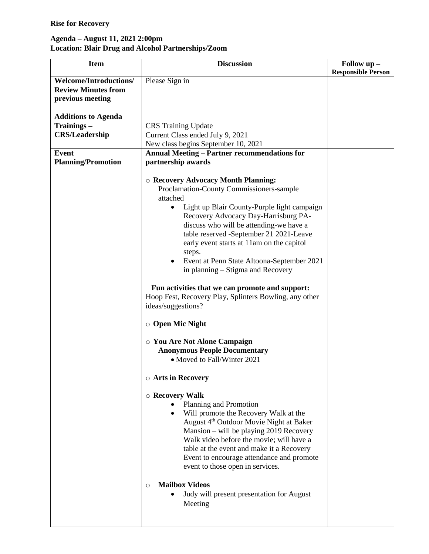## **Rise for Recovery**

## **Agenda – August 11, 2021 2:00pm Location: Blair Drug and Alcohol Partnerships/Zoom**

| <b>Item</b>                | <b>Discussion</b>                                        | Follow up -               |
|----------------------------|----------------------------------------------------------|---------------------------|
| Welcome/Introductions/     | Please Sign in                                           | <b>Responsible Person</b> |
| <b>Review Minutes from</b> |                                                          |                           |
| previous meeting           |                                                          |                           |
|                            |                                                          |                           |
| <b>Additions to Agenda</b> |                                                          |                           |
| Trainings-                 | <b>CRS</b> Training Update                               |                           |
| <b>CRS/Leadership</b>      | Current Class ended July 9, 2021                         |                           |
|                            | New class begins September 10, 2021                      |                           |
| Event                      | <b>Annual Meeting - Partner recommendations for</b>      |                           |
| <b>Planning/Promotion</b>  | partnership awards                                       |                           |
|                            |                                                          |                           |
|                            | ○ Recovery Advocacy Month Planning:                      |                           |
|                            | Proclamation-County Commissioners-sample                 |                           |
|                            | attached                                                 |                           |
|                            | Light up Blair County-Purple light campaign<br>$\bullet$ |                           |
|                            | Recovery Advocacy Day-Harrisburg PA-                     |                           |
|                            | discuss who will be attending-we have a                  |                           |
|                            | table reserved -September 21 2021-Leave                  |                           |
|                            | early event starts at 11am on the capitol                |                           |
|                            | steps.                                                   |                           |
|                            | Event at Penn State Altoona-September 2021               |                           |
|                            | in planning – Stigma and Recovery                        |                           |
|                            | Fun activities that we can promote and support:          |                           |
|                            | Hoop Fest, Recovery Play, Splinters Bowling, any other   |                           |
|                            | ideas/suggestions?                                       |                           |
|                            |                                                          |                           |
|                            | $\circ$ Open Mic Night                                   |                           |
|                            | ○ You Are Not Alone Campaign                             |                           |
|                            | <b>Anonymous People Documentary</b>                      |                           |
|                            | • Moved to Fall/Winter 2021                              |                           |
|                            |                                                          |                           |
|                            | <b>O Arts in Recovery</b>                                |                           |
|                            | $\circ$ Recovery Walk                                    |                           |
|                            | Planning and Promotion                                   |                           |
|                            | Will promote the Recovery Walk at the                    |                           |
|                            | August 4 <sup>th</sup> Outdoor Movie Night at Baker      |                           |
|                            | Mansion - will be playing 2019 Recovery                  |                           |
|                            | Walk video before the movie; will have a                 |                           |
|                            | table at the event and make it a Recovery                |                           |
|                            | Event to encourage attendance and promote                |                           |
|                            | event to those open in services.                         |                           |
|                            |                                                          |                           |
|                            | <b>Mailbox Videos</b><br>$\circ$                         |                           |
|                            | Judy will present presentation for August                |                           |
|                            | Meeting                                                  |                           |
|                            |                                                          |                           |
|                            |                                                          |                           |